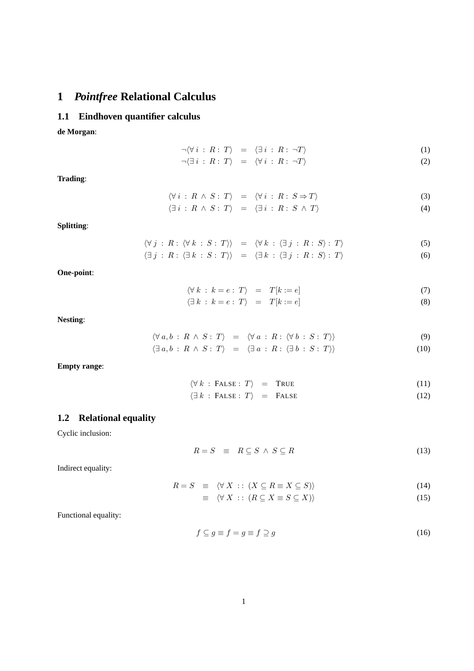# **1** *Pointfree* **Relational Calculus**

#### **1.1 Eindhoven quantifier calculus**

**de Morgan**:

$$
\neg \langle \forall i : R : T \rangle = \langle \exists i : R : \neg T \rangle \tag{1}
$$

$$
\neg(\exists i : R : T) = \langle \forall i : R : \neg T \rangle \tag{2}
$$

**Trading**:

$$
\langle \forall i : R \land S : T \rangle = \langle \forall i : R : S \Rightarrow T \rangle
$$
  

$$
\langle \exists i : R \land S : T \rangle = \langle \exists i : R : S \land T \rangle
$$
  
(3)

**Splitting**:

$$
\langle \forall j : R : \langle \forall k : S : T \rangle \rangle = \langle \forall k : \langle \exists j : R : S \rangle : T \rangle
$$
  

$$
\langle \exists j : R : \langle \exists k : S : T \rangle \rangle = \langle \exists k : \langle \exists j : R : S \rangle : T \rangle
$$
  
(6)

**One-point**:

$$
\langle \forall k : k = e : T \rangle = T[k := e]
$$
\n(7)

$$
\langle \exists k : k = e : T \rangle = T[k := e]
$$
\n(8)

**Nesting**:

$$
\langle \forall a, b : R \land S : T \rangle = \langle \forall a : R : \langle \forall b : S : T \rangle \rangle
$$
  

$$
\langle \exists a, b : R \land S : T \rangle = \langle \exists a : R : \langle \exists b : S : T \rangle \rangle
$$
  
(10)

**Empty range**:

$$
\langle \forall k : \text{FALSE} : T \rangle = \text{TRUE} \tag{11}
$$

$$
\langle \exists k : \text{FALSE} : T \rangle = \text{FALSE} \tag{12}
$$

#### **1.2 Relational equality**

Cyclic inclusion:

$$
R = S \equiv R \subseteq S \land S \subseteq R \tag{13}
$$

Indirect equality:

$$
R = S \equiv \langle \forall X : : (X \subseteq R \equiv X \subseteq S) \rangle \tag{14}
$$

$$
\equiv \langle \forall X : : (R \subseteq X \equiv S \subseteq X) \rangle \tag{15}
$$

Functional equality:

$$
f \subseteq g \equiv f = g \equiv f \supseteq g \tag{16}
$$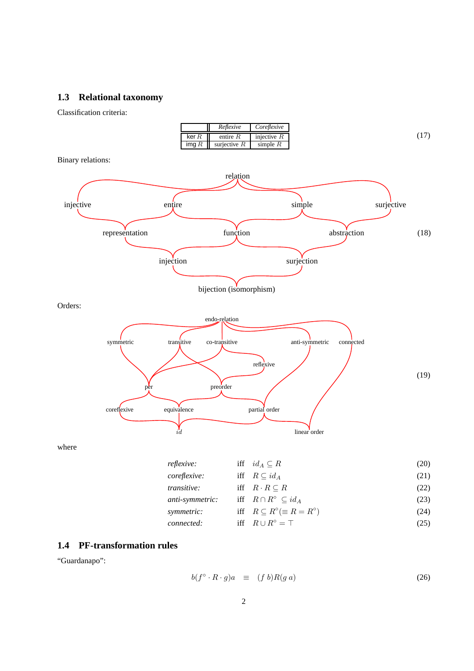## **1.3 Relational taxonomy**

Classification criteria:



#### **1.4 PF-transformation rules**

"Guardanapo":

$$
b(f^{\circ} \cdot R \cdot g)a \equiv (f b)R(g a) \tag{26}
$$

*connected:* iff  $R \cup R^{\circ} = \top$  (25)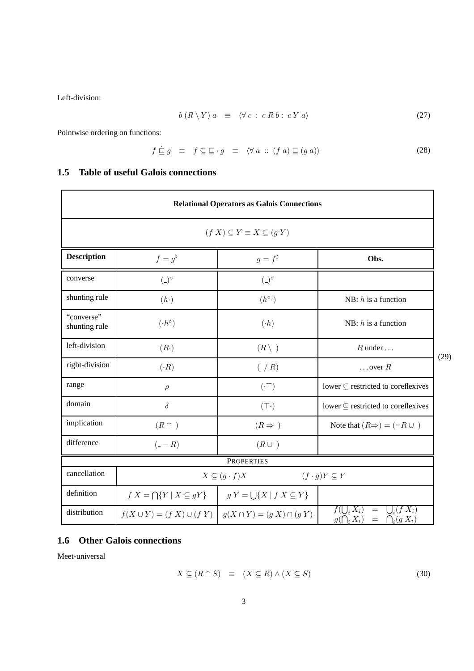Left-division:

$$
b(R \setminus Y) a \equiv \langle \forall c : c R b : c Y a \rangle \tag{27}
$$

Pointwise ordering on functions:

$$
f \sqsubseteq g \equiv f \subseteq \sqsubseteq \cdot g \equiv \langle \forall a :: (f a) \sqsubseteq (g a) \rangle \tag{28}
$$

# **1.5 Table of useful Galois connections**

| <b>Relational Operators as Galois Connections</b> |                                                                                               |                    |                                                                                  |
|---------------------------------------------------|-----------------------------------------------------------------------------------------------|--------------------|----------------------------------------------------------------------------------|
| $(f X) \subseteq Y \equiv X \subseteq (g Y)$      |                                                                                               |                    |                                                                                  |
| Description                                       | $f=g^{\flat}$                                                                                 | $g = f^{\sharp}$   | Obs.                                                                             |
| converse                                          | $($ _ $)$ °                                                                                   | $($ _ $)$ °        |                                                                                  |
| shunting rule                                     | (h.)                                                                                          | $(h^{\circ}.)$     | NB: $h$ is a function                                                            |
| "converse"<br>shunting rule                       | $(h^{\circ})$                                                                                 | (A)                | NB: $h$ is a function                                                            |
| left-division                                     | (R.)                                                                                          | $(R\setminus)$     | $R$ under $\dots$                                                                |
| right-division                                    | (A)                                                                                           | $(\angle R)$       | $\ldots$ over $R$                                                                |
| range                                             | $\rho$                                                                                        | $(\cdot\top)$      | lower $\subseteq$ restricted to coreflexives                                     |
| domain                                            | $\delta$                                                                                      | $(\top \cdot)$     | lower $\subseteq$ restricted to coreflexives                                     |
| implication                                       | $(R \cap )$                                                                                   | $(R \Rightarrow )$ | Note that $(R\Rightarrow) = (\neg R \cup )$                                      |
| difference                                        | $(-R)$                                                                                        | $(R\cup)$          |                                                                                  |
| <b>PROPERTIES</b>                                 |                                                                                               |                    |                                                                                  |
| cancellation                                      | $X \subseteq (g \cdot f)X$<br>$(f \cdot g)Y \subseteq Y$                                      |                    |                                                                                  |
| definition                                        | $f X = \bigcap \{Y \mid X \subseteq gY\}$ $\qquad$ $g Y = \bigcup \{X \mid f X \subseteq Y\}$ |                    |                                                                                  |
| distribution                                      | $f(X \cup Y) = (f X) \cup (f Y)   g(X \cap Y) = (g X) \cap (g Y)$                             |                    | $f(\bigcup_i X_i) = \bigcup_i (f X_i)$<br>$g(\bigcap_i X_i) = \bigcap_i (g X_i)$ |

# **1.6 Other Galois connections**

Meet-universal

$$
X \subseteq (R \cap S) \equiv (X \subseteq R) \land (X \subseteq S) \tag{30}
$$

(29)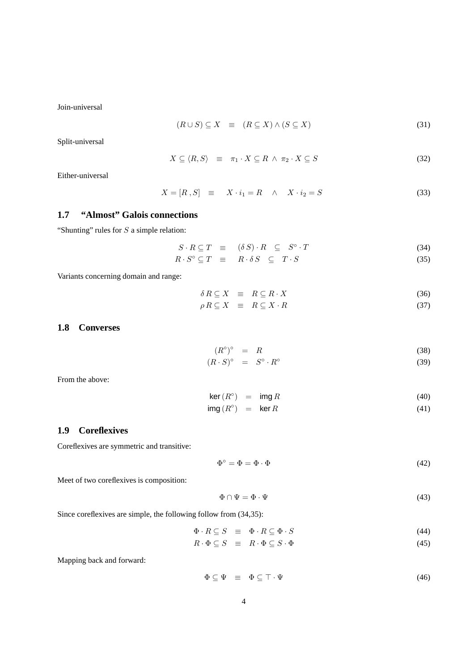Join-universal

$$
(R \cup S) \subseteq X \equiv (R \subseteq X) \land (S \subseteq X) \tag{31}
$$

Split-universal

$$
X \subseteq \langle R, S \rangle \equiv \pi_1 \cdot X \subseteq R \land \pi_2 \cdot X \subseteq S \tag{32}
$$

Either-universal

$$
X = [R, S] \equiv X \cdot i_1 = R \quad \wedge \quad X \cdot i_2 = S \tag{33}
$$

### **1.7 "Almost" Galois connections**

"Shunting" rules for  $S$  a simple relation:

$$
S \cdot R \subseteq T \equiv (\delta S) \cdot R \subseteq S^{\circ} \cdot T \tag{34}
$$

$$
R \cdot S^{\circ} \subseteq T \quad \equiv \quad R \cdot \delta S \quad \subseteq \quad T \cdot S \tag{35}
$$

Variants concerning domain and range:

$$
\delta R \subseteq X \equiv R \subseteq R \cdot X \tag{36}
$$

$$
\rho R \subseteq X \equiv R \subseteq X \cdot R \tag{37}
$$

#### **1.8 Converses**

$$
(R^{\circ})^{\circ} = R \tag{38}
$$

$$
(R \cdot S)^{\circ} = S^{\circ} \cdot R^{\circ} \tag{39}
$$

From the above:

$$
\ker(R^{\circ}) = \operatorname{img} R \tag{40}
$$

$$
img(R^{\circ}) = ker R \tag{41}
$$

#### **1.9 Coreflexives**

Coreflexives are symmetric and transitive:

$$
\Phi^{\circ} = \Phi = \Phi \cdot \Phi \tag{42}
$$

Meet of two coreflexives is composition:

$$
\Phi \cap \Psi = \Phi \cdot \Psi \tag{43}
$$

Since coreflexives are simple, the following follow from (34,35):

$$
\Phi \cdot R \subseteq S \quad \equiv \quad \Phi \cdot R \subseteq \Phi \cdot S \tag{44}
$$

$$
R \cdot \Phi \subseteq S \equiv R \cdot \Phi \subseteq S \cdot \Phi \tag{45}
$$

Mapping back and forward:

$$
\Phi \subseteq \Psi \equiv \Phi \subseteq \top \cdot \Psi \tag{46}
$$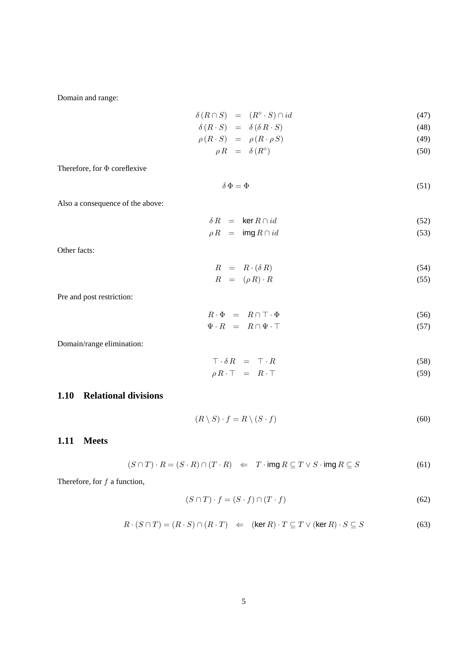Domain and range:

$$
\delta(R \cap S) = (R^{\circ} \cdot S) \cap id \tag{47}
$$
\n
$$
\delta(R \cdot S) = \delta(\delta R \cdot S) \tag{48}
$$

$$
\begin{array}{rcl}\n\sigma(R \cdot S) & = & \sigma(\sigma R \cdot S) \\
\rho(R \cdot S) & = & \rho(R \cdot \rho S)\n\end{array} \tag{48}
$$

$$
\rho R = \delta(R^{\circ}) \tag{50}
$$

Therefore, for 
$$
\Phi
$$
 coreflexive

$$
\delta \Phi = \Phi \tag{51}
$$

Also a consequence of the above:

$$
\delta R = \ker R \cap id \tag{52}
$$

$$
\rho R = \text{img } R \cap id \tag{53}
$$

Other facts:

$$
R = R \cdot (\delta \, R) \tag{54}
$$

$$
R = (\rho R) \cdot R \tag{55}
$$

Pre and post restriction:

$$
R \cdot \Phi = R \cap \top \cdot \Phi
$$
  
\n
$$
\Psi \cdot R = R \cap \Psi \cdot \top
$$
\n(56)  
\n(57)

Domain/range elimination:

$$
\top \cdot \delta R = \top \cdot R \tag{58}
$$

$$
\rho \, R \cdot \top = R \cdot \top \tag{59}
$$

### **1.10 Relational divisions**

$$
(R \setminus S) \cdot f = R \setminus (S \cdot f) \tag{60}
$$

### **1.11 Meets**

$$
(S \cap T) \cdot R = (S \cdot R) \cap (T \cdot R) \iff T \cdot \text{img } R \subseteq T \lor S \cdot \text{img } R \subseteq S \tag{61}
$$

Therefore, for  $f$  a function,

$$
(S \cap T) \cdot f = (S \cdot f) \cap (T \cdot f) \tag{62}
$$

$$
R \cdot (S \cap T) = (R \cdot S) \cap (R \cdot T) \iff (\ker R) \cdot T \subseteq T \lor (\ker R) \cdot S \subseteq S \tag{63}
$$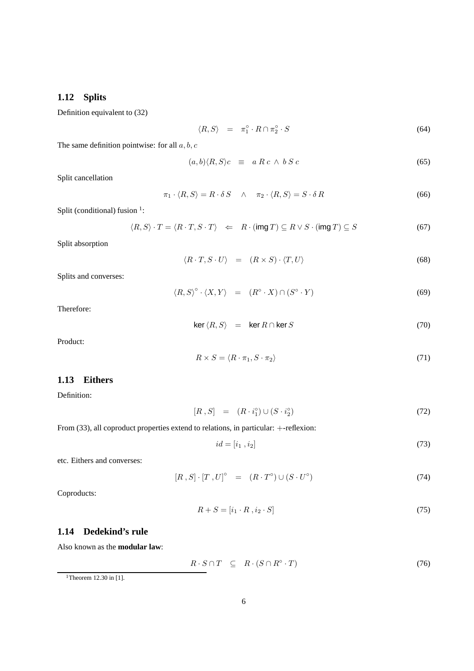### **1.12 Splits**

Definition equivalent to (32)

$$
\langle R, S \rangle = \pi_1^\circ \cdot R \cap \pi_2^\circ \cdot S \tag{64}
$$

The same definition pointwise: for all  $a, b, c$ 

$$
(a,b)\langle R,S\rangle c \equiv a R c \wedge b S c \tag{65}
$$

Split cancellation

$$
\pi_1 \cdot \langle R, S \rangle = R \cdot \delta S \quad \wedge \quad \pi_2 \cdot \langle R, S \rangle = S \cdot \delta R \tag{66}
$$

Split (conditional) fusion  $1$ :

$$
\langle R, S \rangle \cdot T = \langle R \cdot T, S \cdot T \rangle \quad \Leftarrow \quad R \cdot (\text{img } T) \subseteq R \vee S \cdot (\text{img } T) \subseteq S \tag{67}
$$

Split absorption

$$
\langle R \cdot T, S \cdot U \rangle = (R \times S) \cdot \langle T, U \rangle \tag{68}
$$

Splits and converses:

$$
\langle R, S \rangle^{\circ} \cdot \langle X, Y \rangle = (R^{\circ} \cdot X) \cap (S^{\circ} \cdot Y) \tag{69}
$$

Therefore:

$$
\ker \langle R, S \rangle = \ker R \cap \ker S \tag{70}
$$

Product:

$$
R \times S = \langle R \cdot \pi_1, S \cdot \pi_2 \rangle \tag{71}
$$

#### **1.13 Eithers**

Definition:

$$
[R, S] = (R \cdot i_1^{\circ}) \cup (S \cdot i_2^{\circ}) \tag{72}
$$

From (33), all coproduct properties extend to relations, in particular: +-reflexion:

$$
id = [i_1, i_2] \tag{73}
$$

etc. Eithers and converses:

$$
[R, S] \cdot [T, U]^\circ = (R \cdot T^\circ) \cup (S \cdot U^\circ) \tag{74}
$$

Coproducts:

$$
R + S = [i_1 \cdot R, i_2 \cdot S] \tag{75}
$$

#### **1.14 Dedekind's rule**

Also known as the **modular law**:

$$
R \cdot S \cap T \quad \subseteq \quad R \cdot (S \cap R^{\circ} \cdot T) \tag{76}
$$

<sup>&</sup>lt;sup>1</sup>Theorem 12.30 in [1].